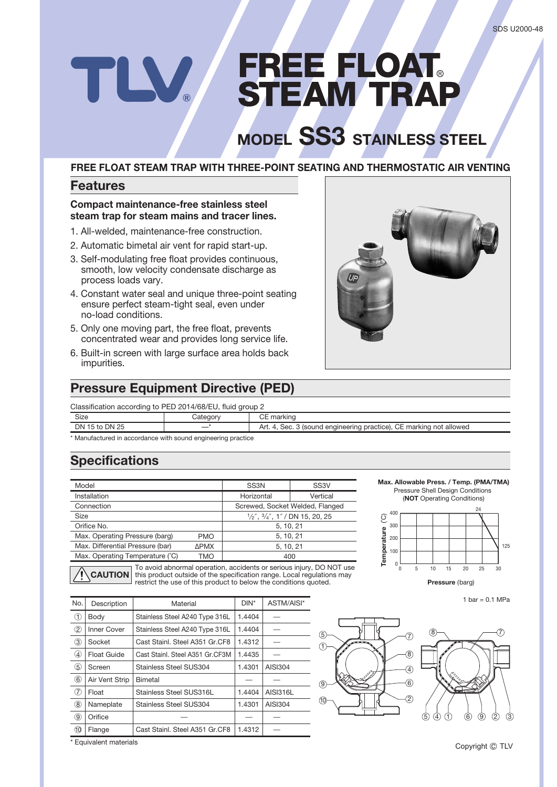# FREE FLOAT<br>STEAM TRAP

# **MODEL SS3 STAINLESS STEEL**

## **FREE FLOAT STEAM TRAP WITH THREE-POINT SEATING AND THERMOSTATIC AIR VENTING**

## **Features**

#### **Compact maintenance-free stainless steel steam trap for steam mains and tracer lines.**

- 1. All-welded, maintenance-free construction.
- 2. Automatic bimetal air vent for rapid start-up.
- 3. Self-modulating free float provides continuous, smooth, low velocity condensate discharge as process loads vary.
- 4. Constant water seal and unique three-point seating ensure perfect steam-tight seal, even under no-load conditions.
- 5. Only one moving part, the free float, prevents concentrated wear and provides long service life.
- 6. Built-in screen with large surface area holds back impurities.

# **Pressure Equipment Directive (PED)**

Classification according to PED 2014/68/EU, fluid group 2

| $\frac{1}{2}$ constraint about any to $\frac{1}{2}$ if $\frac{1}{2}$ if $\frac{1}{2}$ if $\frac{1}{2}$ if $\frac{1}{2}$ if $\frac{1}{2}$ if $\frac{1}{2}$ |         |                                                                     |  |  |  |
|-----------------------------------------------------------------------------------------------------------------------------------------------------------|---------|---------------------------------------------------------------------|--|--|--|
| Size                                                                                                                                                      | ∵ateɑor | CE marking                                                          |  |  |  |
| DN 15 to DN 25                                                                                                                                            |         | Sec. 3 (sound engineering practice), CE marking not allowed<br>Art. |  |  |  |
| $\mathbf{v}$ , and $\mathbf{v}$ , and $\mathbf{v}$ , and $\mathbf{v}$ , and $\mathbf{v}$ , and $\mathbf{v}$ , and $\mathbf{v}$                            |         |                                                                     |  |  |  |

Manufactured in accordance with sound engineering practice

# **Specifications**

| Model                                        | SS <sub>3N</sub>                                   | SS <sub>3</sub> V |  |  |
|----------------------------------------------|----------------------------------------------------|-------------------|--|--|
| Installation                                 | Horizontal                                         | Vertical          |  |  |
| Connection                                   | Screwed, Socket Welded, Flanged                    |                   |  |  |
| Size                                         | $\frac{1}{2}$ , $\frac{3}{4}$ , 1" / DN 15, 20, 25 |                   |  |  |
| Orifice No.                                  |                                                    | 5, 10, 21         |  |  |
| Max. Operating Pressure (barg)<br><b>PMO</b> |                                                    | 5, 10, 21         |  |  |
| Max. Differential Pressure (bar)             | ΔΡΜΧ                                               | 5, 10, 21         |  |  |
| Max. Operating Temperature (°C)              | TMO                                                | 400               |  |  |

**CAUTION** To avoid abnormal operation, accidents or serious injury, DO NOT use this product outside of the specification range. Local regulations may restrict the use of this product to below the conditions quoted.

| No.               | Description        | Material                        | $DIN^*$ | ASTM/AISI*      |
|-------------------|--------------------|---------------------------------|---------|-----------------|
| ➀                 | Body               | Stainless Steel A240 Type 316L  | 1.4404  |                 |
| ②                 | <b>Inner Cover</b> | Stainless Steel A240 Type 316L  | 1.4404  |                 |
| ③                 | Socket             | Cast Stainl, Steel A351 Gr.CF8  | 1.4312  |                 |
| $\left( 4\right)$ | Float Guide        | Cast Stainl, Steel A351 Gr.CF3M | 1.4435  |                 |
| (5)               | Screen             | <b>Stainless Steel SUS304</b>   | 1.4301  | <b>AISI304</b>  |
| 6                 | Air Vent Strip     | <b>Bimetal</b>                  |         |                 |
| (7)               | Float              | Stainless Steel SUS316L         | 1.4404  | <b>AISI316L</b> |
| ⑧                 | Nameplate          | Stainless Steel SUS304          | 1.4301  | AISI304         |
| 9                 | Orifice            |                                 |         |                 |
| $\circledR$       | Flange             | Cast Stainl, Steel A351 Gr.CF8  | 1.4312  |                 |



**Temperature** (˚C)

Temperature

ව

200 300 400

> $\mathfrak c$  $\overline{0}$

\* Equivalent materials



**Pressure** (barg)

 $\overline{100}$   $\overline{125}$ 

20

5 10 15 25 30

24

**Max. Allowable Press. / Temp. (PMA/TMA)** Pressure Shell Design Conditions (**NOT** Operating Conditions)

1 bar =  $0.1$  MPa